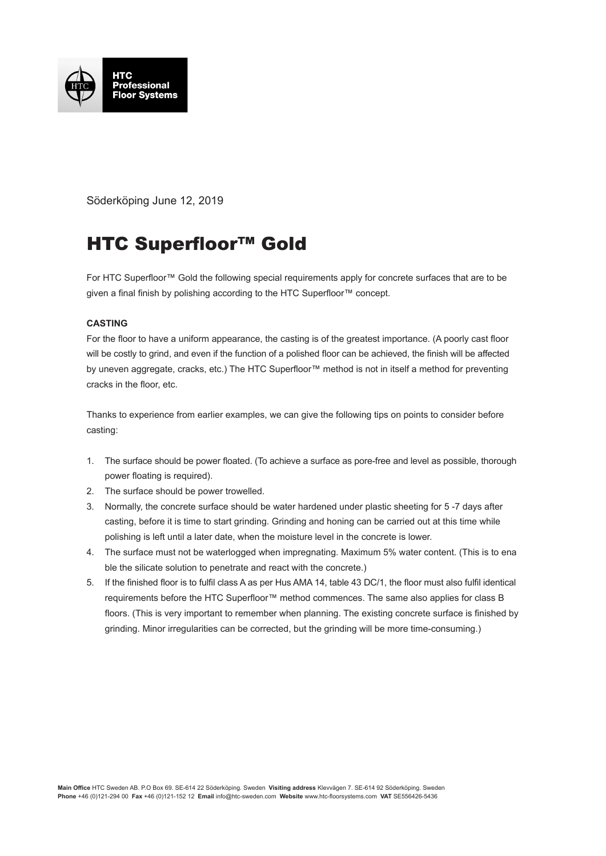

Söderköping June 12, 2019

## HTC Superfloor™ Gold

For HTC Superfloor™ Gold the following special requirements apply for concrete surfaces that are to be given a final finish by polishing according to the HTC Superfloor<sup>™</sup> concept.

## **CASTING**

For the floor to have a uniform appearance, the casting is of the greatest importance. (A poorly cast floor will be costly to grind, and even if the function of a polished floor can be achieved, the finish will be affected by uneven aggregate, cracks, etc.) The HTC Superfloor™ method is not in itself a method for preventing cracks in the floor, etc.

Thanks to experience from earlier examples, we can give the following tips on points to consider before casting:

- 1. The surface should be power floated. (To achieve a surface as pore-free and level as possible, thorough power floating is required).
- 2. The surface should be power trowelled.
- 3. Normally, the concrete surface should be water hardened under plastic sheeting for 5 -7 days after casting, before it is time to start grinding. Grinding and honing can be carried out at this time while polishing is left until a later date, when the moisture level in the concrete is lower.
- 4. The surface must not be waterlogged when impregnating. Maximum 5% water content. (This is to ena ble the silicate solution to penetrate and react with the concrete.)
- 5. If the finished floor is to fulfil class A as per Hus AMA 14, table 43 DC/1, the floor must also fulfil identical requirements before the HTC Superfloor™ method commences. The same also applies for class B floors. (This is very important to remember when planning. The existing concrete surface is finished by grinding. Minor irregularities can be corrected, but the grinding will be more time-consuming.)